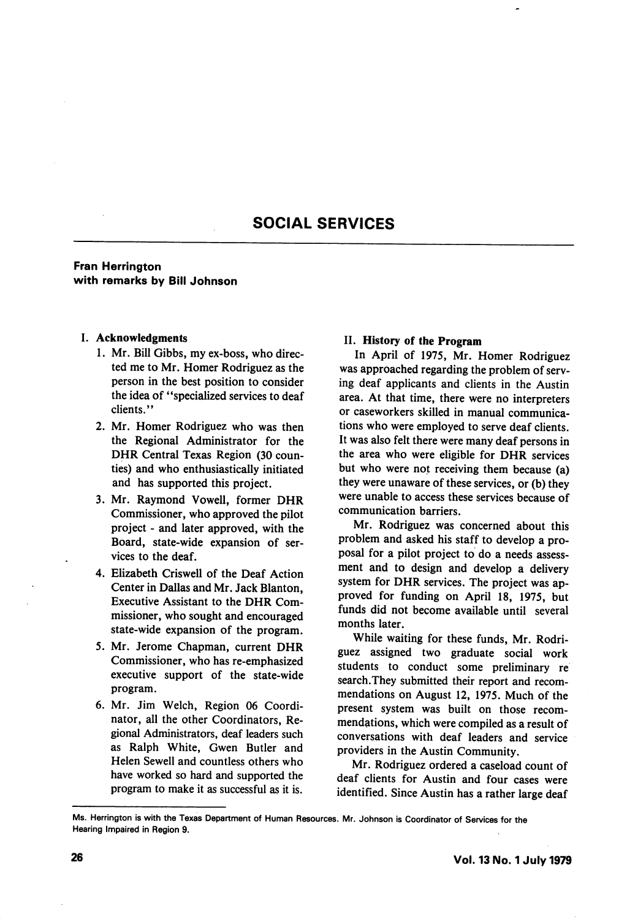# SOCIAL SERVICES

## Fran Harrington with remarks by Bill Johnson

#### I. Acknowledgments

- 1. Mr. Bill Gibbs, my ex-boss, who direc ted me to Mr. Homer Rodriguez as the person in the best position to consider the idea of ^'specialized services to deaf clients."
- 2. Mr. Homer Rodriguez who was then the Regional Administrator for the DHR Central Texas Region (30 coun ties) and who enthusiastically initiated and has supported this project.
- 3. Mr. Raymond Vowell, former DHR Commissioner, who approved the pilot project - and later approved, with the Board, state-wide expansion of ser vices to the deaf.
- 4. Elizabeth Criswell of the Deaf Action Center in Dallas and Mr. Jack Blanton, Executive Assistant to the DHR Com missioner, who sought and encouraged state-wide expansion of the program.
- 5. Mr. Jerome Chapman, current DHR Commissioner, who has re-emphasized executive support of the state-wide program.
- 6. Mr. Jim Welch, Region 06 Coordi nator, all the other Coordinators, Re gional Administrators, deaf leaders such as Ralph White, Owen Butler and Helen Sewell and countless others who have worked so hard and supported the program to make it as successful as it is.

### II. History of the Program

In April of 1975, Mr. Homer Rodriguez was approached regarding the problem of serv ing deaf applicants and clients in the Austin area. At that time, there were no interpreters or caseworkers skilled in manual communica tions who were employed to serve deaf clients. It was also felt there were many deaf persons in the area who were eligible for DHR services but who were not receiving them because (a) they were unaware of these services, or (b) they were unable to access these services because of communication barriers.

Mr. Rodriguez was concerned about this problem and asked his staff to develop a pro posal for a pilot project to do a needs assess ment and to design and develop a delivery system for DHR services. The project was ap proved for funding on April 18, 1975, but funds did not become available until several months later.

While waiting for these funds, Mr. Rodri guez assigned two graduate social work students to conduct some preliminary re search.They submitted their report and recom mendations on August 12, 1975. Much of the present system was built on those recom mendations, which were compiled as a result of conversations with deaf leaders and service providers in the Austin Community.

Mr. Rodriguez ordered a caseload count of deaf clients for Austin and four cases were identified. Since Austin has a rather large deaf

Ms. Herrlngton is with the Texas Department of Human Resources. Mr. Johnson is Coordinator of Services for the Hearing Impaired in Region 9.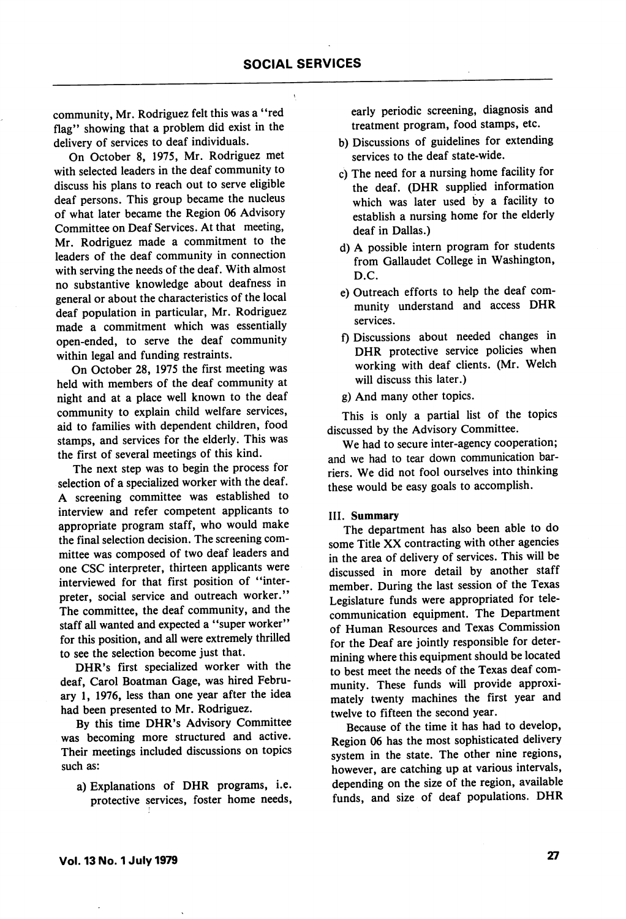community, Mr. Rodriguez felt this was a "red flag" showing that a problem did exist in the delivery of services to deaf individuals.

On October 8, 1975, Mr. Rodriguez met with selected leaders in the deaf community to discuss his plans to reach out to serve eligible deaf persons. This group became the nucleus of what later became the Region 06 Advisory Committee on Deaf Services. At that meeting, Mr. Rodriguez made a commitment to the leaders of the deaf community in connection with serving the needs of the deaf. With almost no substantive knowledge about deafness in general or about the characteristics of the local deaf population in particular, Mr. Rodriguez made a commitment which was essentially open-ended, to serve the deaf community within legal and funding restraints.

On October 28, 1975 the first meeting was held with members of the deaf community at night and at a place well known to the deaf community to explain child welfare services, aid to families with dependent children, food stamps, and services for the elderly. This was the first of several meetings of this kind.

The next step was to begin the process for selection of a specialized worker with the deaf. A screening committee was established to interview and refer competent applicants to appropriate program staff, who would make the final selection decision. The screening com mittee was composed of two deaf leaders and one CSC interpreter, thirteen applicants were interviewed for that first position of "interpreter, social service and outreach worker." The committee, the deaf community, and the staff all wanted and expected a "super worker" for this position, and all were extremely thrilled to see the selection become just that.

DHR's first specialized worker with the deaf, Carol Boatman Gage, was hired Febru ary 1, 1976, less than one year after the idea had been presented to Mr. Rodriguez.

By this time DHR's Advisory Committee was becoming more structured and active. Their meetings included discussions on topics such as:

a) Explanations of DHR programs, i.e. protective services, foster home needs. early periodic screening, diagnosis and treatment program, food stamps, etc.

- b) Discussions of guidelines for extending services to the deaf state-wide.
- c) The need for a nursing home facility for the deaf. (DHR supplied information which was later used by a facility to establish a nursing home for the elderly deaf in Dallas.)
- d) A possible intern program for students from Gallaudet College in Washington, D.C.
- e) Outreach efforts to help the deaf com munity understand and access DHR services.
- f) Discussions about needed changes in DHR protective service policies when working with deaf clients. (Mr. Welch will discuss this later.)
- g) And many other topics.

This is only a partial list of the topics discussed by the Advisory Committee.

We had to secure inter-agency cooperation; and we had to tear down communication bar riers. We did not fool ourselves into thinking these would be easy goals to accomplish.

## III. Summary

The department has also been able to do some Title XX contracting with other agencies in the area of delivery of services. This will be discussed in more detail by another staff member. During the last session of the Texas Legislature funds were appropriated for tele communication equipment. The Department of Human Resources and Texas Commission for the Deaf are jointly responsible for deter mining where this equipment should be located to best meet the needs of the Texas deaf com munity. These funds will provide approxi mately twenty machines the first year and twelve to fifteen the second year.

Because of the time it has had to develop. Region 06 has the most sophisticated delivery system in the state. The other nine regions, however, are catching up at various intervals, depending on the size of the region, available funds, and size of deaf populations. DHR